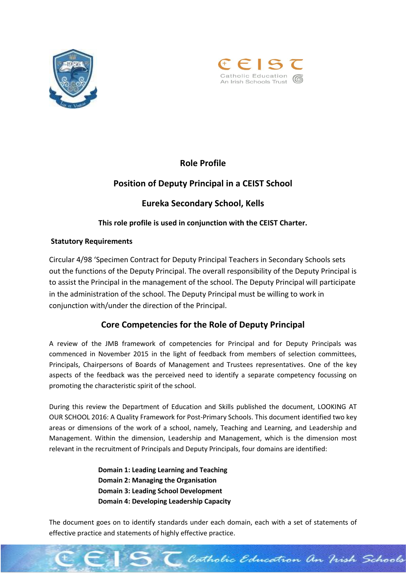



# **Role Profile**

# **Position of Deputy Principal in a CEIST School**

# **Eureka Secondary School, Kells**

### **This role profile is used in conjunction with the CEIST Charter.**

### **Statutory Requirements**

Circular 4/98 'Specimen Contract for Deputy Principal Teachers in Secondary Schools sets out the functions of the Deputy Principal. The overall responsibility of the Deputy Principal is to assist the Principal in the management of the school. The Deputy Principal will participate in the administration of the school. The Deputy Principal must be willing to work in conjunction with/under the direction of the Principal.

# **Core Competencies for the Role of Deputy Principal**

A review of the JMB framework of competencies for Principal and for Deputy Principals was commenced in November 2015 in the light of feedback from members of selection committees, Principals, Chairpersons of Boards of Management and Trustees representatives. One of the key aspects of the feedback was the perceived need to identify a separate competency focussing on promoting the characteristic spirit of the school.

During this review the Department of Education and Skills published the document, LOOKING AT OUR SCHOOL 2016: A Quality Framework for Post-Primary Schools. This document identified two key areas or dimensions of the work of a school, namely, Teaching and Learning, and Leadership and Management. Within the dimension, Leadership and Management, which is the dimension most relevant in the recruitment of Principals and Deputy Principals, four domains are identified:

> **Domain 1: Leading Learning and Teaching Domain 2: Managing the Organisation Domain 3: Leading School Development Domain 4: Developing Leadership Capacity**

The document goes on to identify standards under each domain, each with a set of statements of effective practice and statements of highly effective practice.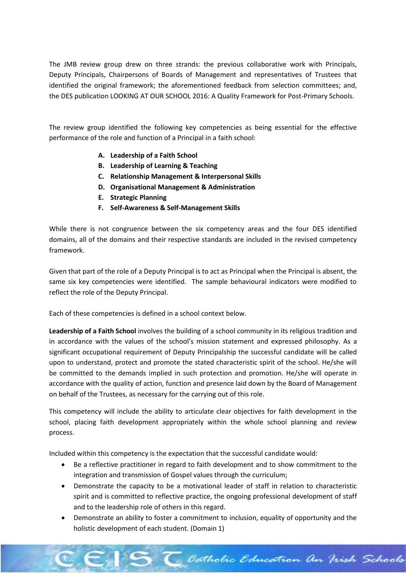The JMB review group drew on three strands: the previous collaborative work with Principals, Deputy Principals, Chairpersons of Boards of Management and representatives of Trustees that identified the original framework; the aforementioned feedback from selection committees; and, the DES publication LOOKING AT OUR SCHOOL 2016: A Quality Framework for Post-Primary Schools.

The review group identified the following key competencies as being essential for the effective performance of the role and function of a Principal in a faith school:

- **A. Leadership of a Faith School**
- **B. Leadership of Learning & Teaching**
- **C. Relationship Management & Interpersonal Skills**
- **D. Organisational Management & Administration**
- **E. Strategic Planning**
- **F. Self-Awareness & Self-Management Skills**

While there is not congruence between the six competency areas and the four DES identified domains, all of the domains and their respective standards are included in the revised competency framework.

Given that part of the role of a Deputy Principal is to act as Principal when the Principal is absent, the same six key competencies were identified. The sample behavioural indicators were modified to reflect the role of the Deputy Principal.

Each of these competencies is defined in a school context below.

**Leadership of a Faith School** involves the building of a school community in its religious tradition and in accordance with the values of the school's mission statement and expressed philosophy. As a significant occupational requirement of Deputy Principalship the successful candidate will be called upon to understand, protect and promote the stated characteristic spirit of the school. He/she will be committed to the demands implied in such protection and promotion. He/she will operate in accordance with the quality of action, function and presence laid down by the Board of Management on behalf of the Trustees, as necessary for the carrying out of this role.

This competency will include the ability to articulate clear objectives for faith development in the school, placing faith development appropriately within the whole school planning and review process.

Included within this competency is the expectation that the successful candidate would:

- Be a reflective practitioner in regard to faith development and to show commitment to the integration and transmission of Gospel values through the curriculum;
- Demonstrate the capacity to be a motivational leader of staff in relation to characteristic spirit and is committed to reflective practice, the ongoing professional development of staff and to the leadership role of others in this regard.
- Demonstrate an ability to foster a commitment to inclusion, equality of opportunity and the holistic development of each student. (Domain 1)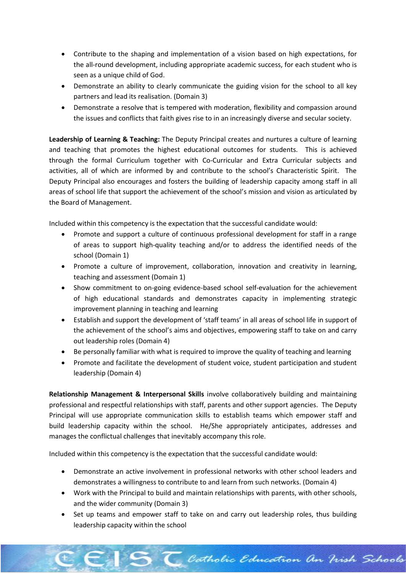- Contribute to the shaping and implementation of a vision based on high expectations, for the all-round development, including appropriate academic success, for each student who is seen as a unique child of God.
- Demonstrate an ability to clearly communicate the guiding vision for the school to all key partners and lead its realisation. (Domain 3)
- Demonstrate a resolve that is tempered with moderation, flexibility and compassion around the issues and conflicts that faith gives rise to in an increasingly diverse and secular society.

**Leadership of Learning & Teaching:** The Deputy Principal creates and nurtures a culture of learning and teaching that promotes the highest educational outcomes for students. This is achieved through the formal Curriculum together with Co-Curricular and Extra Curricular subjects and activities, all of which are informed by and contribute to the school's Characteristic Spirit. The Deputy Principal also encourages and fosters the building of leadership capacity among staff in all areas of school life that support the achievement of the school's mission and vision as articulated by the Board of Management.

Included within this competency is the expectation that the successful candidate would:

- Promote and support a culture of continuous professional development for staff in a range of areas to support high-quality teaching and/or to address the identified needs of the school (Domain 1)
- Promote a culture of improvement, collaboration, innovation and creativity in learning, teaching and assessment (Domain 1)
- Show commitment to on-going evidence-based school self-evaluation for the achievement of high educational standards and demonstrates capacity in implementing strategic improvement planning in teaching and learning
- Establish and support the development of 'staff teams' in all areas of school life in support of the achievement of the school's aims and objectives, empowering staff to take on and carry out leadership roles (Domain 4)
- Be personally familiar with what is required to improve the quality of teaching and learning
- Promote and facilitate the development of student voice, student participation and student leadership (Domain 4)

**Relationship Management & Interpersonal Skills** involve collaboratively building and maintaining professional and respectful relationships with staff, parents and other support agencies. The Deputy Principal will use appropriate communication skills to establish teams which empower staff and build leadership capacity within the school. He/She appropriately anticipates, addresses and manages the conflictual challenges that inevitably accompany this role.

Included within this competency is the expectation that the successful candidate would:

- Demonstrate an active involvement in professional networks with other school leaders and demonstrates a willingness to contribute to and learn from such networks. (Domain 4)
- Work with the Principal to build and maintain relationships with parents, with other schools, and the wider community (Domain 3)
- Set up teams and empower staff to take on and carry out leadership roles, thus building leadership capacity within the school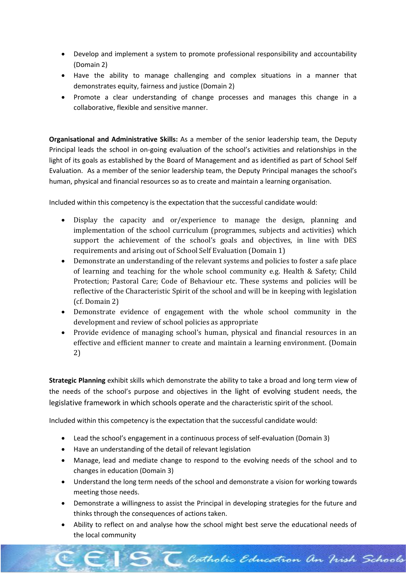- Develop and implement a system to promote professional responsibility and accountability (Domain 2)
- Have the ability to manage challenging and complex situations in a manner that demonstrates equity, fairness and justice (Domain 2)
- Promote a clear understanding of change processes and manages this change in a collaborative, flexible and sensitive manner.

**Organisational and Administrative Skills:** As a member of the senior leadership team, the Deputy Principal leads the school in on-going evaluation of the school's activities and relationships in the light of its goals as established by the Board of Management and as identified as part of School Self Evaluation. As a member of the senior leadership team, the Deputy Principal manages the school's human, physical and financial resources so as to create and maintain a learning organisation.

Included within this competency is the expectation that the successful candidate would:

- Display the capacity and or/experience to manage the design, planning and implementation of the school curriculum (programmes, subjects and activities) which support the achievement of the school's goals and objectives, in line with DES requirements and arising out of School Self Evaluation (Domain 1)
- Demonstrate an understanding of the relevant systems and policies to foster a safe place of learning and teaching for the whole school community e.g. Health & Safety; Child Protection; Pastoral Care; Code of Behaviour etc. These systems and policies will be reflective of the Characteristic Spirit of the school and will be in keeping with legislation (cf. Domain 2)
- Demonstrate evidence of engagement with the whole school community in the development and review of school policies as appropriate
- Provide evidence of managing school's human, physical and financial resources in an effective and efficient manner to create and maintain a learning environment. (Domain 2)

**Strategic Planning** exhibit skills which demonstrate the ability to take a broad and long term view of the needs of the school's purpose and objectives in the light of evolving student needs, the legislative framework in which schools operate and the characteristic spirit of the school.

Included within this competency is the expectation that the successful candidate would:

- Lead the school's engagement in a continuous process of self-evaluation (Domain 3)
- Have an understanding of the detail of relevant legislation
- Manage, lead and mediate change to respond to the evolving needs of the school and to changes in education (Domain 3)
- Understand the long term needs of the school and demonstrate a vision for working towards meeting those needs.
- Demonstrate a willingness to assist the Principal in developing strategies for the future and thinks through the consequences of actions taken.
- Ability to reflect on and analyse how the school might best serve the educational needs of the local community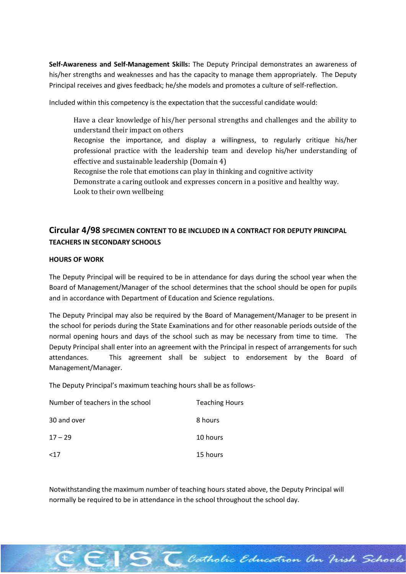**Self-Awareness and Self-Management Skills:** The Deputy Principal demonstrates an awareness of his/her strengths and weaknesses and has the capacity to manage them appropriately. The Deputy Principal receives and gives feedback; he/she models and promotes a culture of self-reflection.

Included within this competency is the expectation that the successful candidate would:

Have a clear knowledge of his/her personal strengths and challenges and the ability to understand their impact on others Recognise the importance, and display a willingness, to regularly critique his/her professional practice with the leadership team and develop his/her understanding of effective and sustainable leadership (Domain 4) Recognise the role that emotions can play in thinking and cognitive activity Demonstrate a caring outlook and expresses concern in a positive and healthy way. Look to their own wellbeing

## **Circular 4/98 SPECIMEN CONTENT TO BE INCLUDED IN A CONTRACT FOR DEPUTY PRINCIPAL TEACHERS IN SECONDARY SCHOOLS**

### **HOURS OF WORK**

The Deputy Principal will be required to be in attendance for days during the school year when the Board of Management/Manager of the school determines that the school should be open for pupils and in accordance with Department of Education and Science regulations.

The Deputy Principal may also be required by the Board of Management/Manager to be present in the school for periods during the State Examinations and for other reasonable periods outside of the normal opening hours and days of the school such as may be necessary from time to time. The Deputy Principal shall enter into an agreement with the Principal in respect of arrangements for such attendances. This agreement shall be subject to endorsement by the Board of Management/Manager.

The Deputy Principal's maximum teaching hours shall be as follows-

| Number of teachers in the school | <b>Teaching Hours</b> |
|----------------------------------|-----------------------|
| 30 and over                      | 8 hours               |
| $17 - 29$                        | 10 hours              |
| <17                              | 15 hours              |

Notwithstanding the maximum number of teaching hours stated above, the Deputy Principal will normally be required to be in attendance in the school throughout the school day.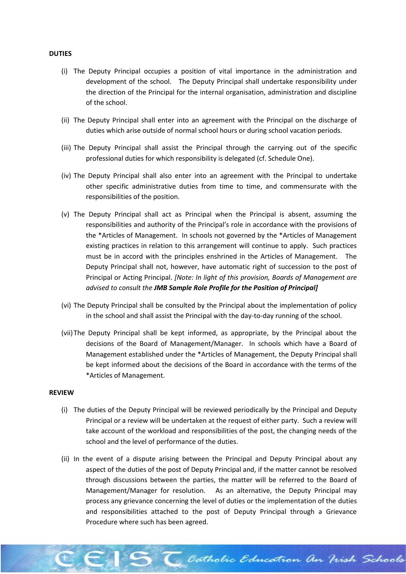#### **DUTIES**

- (i) The Deputy Principal occupies a position of vital importance in the administration and development of the school. The Deputy Principal shall undertake responsibility under the direction of the Principal for the internal organisation, administration and discipline of the school.
- (ii) The Deputy Principal shall enter into an agreement with the Principal on the discharge of duties which arise outside of normal school hours or during school vacation periods.
- (iii) The Deputy Principal shall assist the Principal through the carrying out of the specific professional duties for which responsibility is delegated (cf. Schedule One).
- (iv) The Deputy Principal shall also enter into an agreement with the Principal to undertake other specific administrative duties from time to time, and commensurate with the responsibilities of the position.
- (v) The Deputy Principal shall act as Principal when the Principal is absent, assuming the responsibilities and authority of the Principal's role in accordance with the provisions of the \*Articles of Management. In schools not governed by the \*Articles of Management existing practices in relation to this arrangement will continue to apply. Such practices must be in accord with the principles enshrined in the Articles of Management. The Deputy Principal shall not, however, have automatic right of succession to the post of Principal or Acting Principal. *[Note: In light of this provision, Boards of Management are advised to consult the JMB Sample Role Profile for the Position of Principal]*
- (vi) The Deputy Principal shall be consulted by the Principal about the implementation of policy in the school and shall assist the Principal with the day-to-day running of the school.
- (vii)The Deputy Principal shall be kept informed, as appropriate, by the Principal about the decisions of the Board of Management/Manager. In schools which have a Board of Management established under the \*Articles of Management, the Deputy Principal shall be kept informed about the decisions of the Board in accordance with the terms of the \*Articles of Management.

#### **REVIEW**

- (i) The duties of the Deputy Principal will be reviewed periodically by the Principal and Deputy Principal or a review will be undertaken at the request of either party. Such a review will take account of the workload and responsibilities of the post, the changing needs of the school and the level of performance of the duties.
- (ii) In the event of a dispute arising between the Principal and Deputy Principal about any aspect of the duties of the post of Deputy Principal and, if the matter cannot be resolved through discussions between the parties, the matter will be referred to the Board of Management/Manager for resolution. As an alternative, the Deputy Principal may process any grievance concerning the level of duties or the implementation of the duties and responsibilities attached to the post of Deputy Principal through a Grievance Procedure where such has been agreed.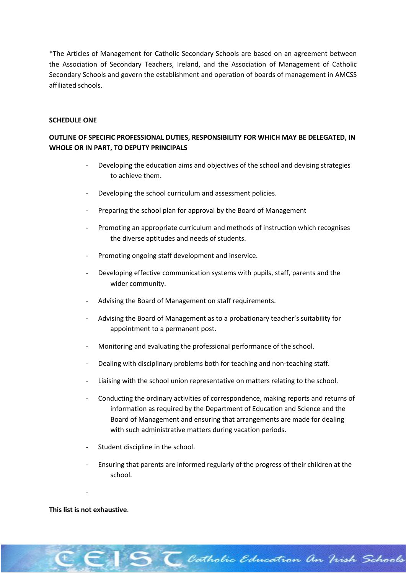\*The Articles of Management for Catholic Secondary Schools are based on an agreement between the Association of Secondary Teachers, Ireland, and the Association of Management of Catholic Secondary Schools and govern the establishment and operation of boards of management in AMCSS affiliated schools.

#### **SCHEDULE ONE**

### **OUTLINE OF SPECIFIC PROFESSIONAL DUTIES, RESPONSIBILITY FOR WHICH MAY BE DELEGATED, IN WHOLE OR IN PART, TO DEPUTY PRINCIPALS**

- Developing the education aims and objectives of the school and devising strategies to achieve them.
- Developing the school curriculum and assessment policies.
- Preparing the school plan for approval by the Board of Management
- Promoting an appropriate curriculum and methods of instruction which recognises the diverse aptitudes and needs of students.
- Promoting ongoing staff development and inservice.
- Developing effective communication systems with pupils, staff, parents and the wider community.
- Advising the Board of Management on staff requirements.
- Advising the Board of Management as to a probationary teacher's suitability for appointment to a permanent post.
- Monitoring and evaluating the professional performance of the school.
- Dealing with disciplinary problems both for teaching and non-teaching staff.
- Liaising with the school union representative on matters relating to the school.
- Conducting the ordinary activities of correspondence, making reports and returns of information as required by the Department of Education and Science and the Board of Management and ensuring that arrangements are made for dealing with such administrative matters during vacation periods.
- Student discipline in the school.
- Ensuring that parents are informed regularly of the progress of their children at the school.

Catholic Education an Vish Schools

#### **This list is not exhaustive**.

-